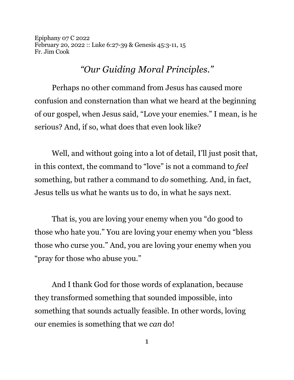Epiphany 07 C 2022 February 20, 2022 :: Luke 6:27-39 & Genesis 45:3-11, 15 Fr. Jim Cook

## *"Our Guiding Moral Principles."*

Perhaps no other command from Jesus has caused more confusion and consternation than what we heard at the beginning of our gospel, when Jesus said, "Love your enemies." I mean, is he serious? And, if so, what does that even look like?

Well, and without going into a lot of detail, I'll just posit that, in this context, the command to "love" is not a command to *feel* something, but rather a command to *do* something*.* And, in fact, Jesus tells us what he wants us to do, in what he says next.

That is, you are loving your enemy when you "do good to those who hate you." You are loving your enemy when you "bless those who curse you." And, you are loving your enemy when you "pray for those who abuse you."

And I thank God for those words of explanation, because they transformed something that sounded impossible, into something that sounds actually feasible. In other words, loving our enemies is something that we *can* do!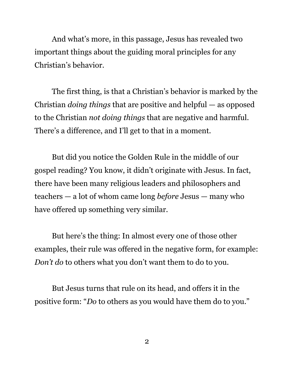And what's more, in this passage, Jesus has revealed two important things about the guiding moral principles for any Christian's behavior.

The first thing, is that a Christian's behavior is marked by the Christian *doing things* that are positive and helpful — as opposed to the Christian *not doing things* that are negative and harmful. There's a difference, and I'll get to that in a moment.

But did you notice the Golden Rule in the middle of our gospel reading? You know, it didn't originate with Jesus. In fact, there have been many religious leaders and philosophers and teachers — a lot of whom came long *before* Jesus — many who have offered up something very similar.

But here's the thing: In almost every one of those other examples, their rule was offered in the negative form, for example: *Don't do* to others what you don't want them to do to you.

But Jesus turns that rule on its head, and offers it in the positive form: "*Do* to others as you would have them do to you."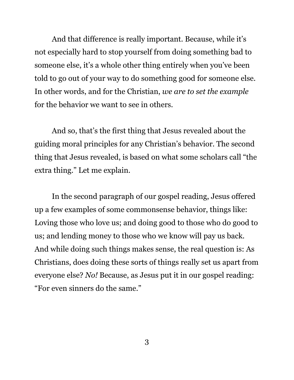And that difference is really important. Because, while it's not especially hard to stop yourself from doing something bad to someone else, it's a whole other thing entirely when you've been told to go out of your way to do something good for someone else. In other words, and for the Christian, *we are to set the example* for the behavior we want to see in others.

And so, that's the first thing that Jesus revealed about the guiding moral principles for any Christian's behavior. The second thing that Jesus revealed, is based on what some scholars call "the extra thing." Let me explain.

In the second paragraph of our gospel reading, Jesus offered up a few examples of some commonsense behavior, things like: Loving those who love us; and doing good to those who do good to us; and lending money to those who we know will pay us back. And while doing such things makes sense, the real question is: As Christians, does doing these sorts of things really set us apart from everyone else? *No!* Because, as Jesus put it in our gospel reading: "For even sinners do the same."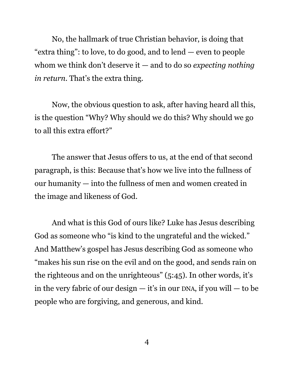No, the hallmark of true Christian behavior, is doing that "extra thing": to love, to do good, and to lend — even to people whom we think don't deserve it — and to do so *expecting nothing in return*. That's the extra thing.

Now, the obvious question to ask, after having heard all this, is the question "Why? Why should we do this? Why should we go to all this extra effort?"

The answer that Jesus offers to us, at the end of that second paragraph, is this: Because that's how we live into the fullness of our humanity — into the fullness of men and women created in the image and likeness of God.

And what is this God of ours like? Luke has Jesus describing God as someone who "is kind to the ungrateful and the wicked." And Matthew's gospel has Jesus describing God as someone who "makes his sun rise on the evil and on the good, and sends rain on the righteous and on the unrighteous" (5:45). In other words, it's in the very fabric of our design  $-$  it's in our DNA, if you will  $-$  to be people who are forgiving, and generous, and kind.

4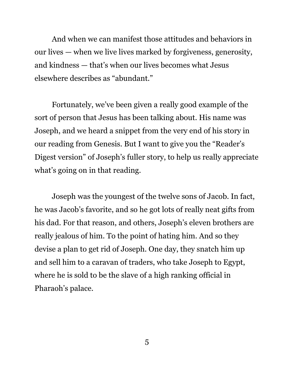And when we can manifest those attitudes and behaviors in our lives — when we live lives marked by forgiveness, generosity, and kindness — that's when our lives becomes what Jesus elsewhere describes as "abundant."

Fortunately, we've been given a really good example of the sort of person that Jesus has been talking about. His name was Joseph, and we heard a snippet from the very end of his story in our reading from Genesis. But I want to give you the "Reader's Digest version" of Joseph's fuller story, to help us really appreciate what's going on in that reading.

Joseph was the youngest of the twelve sons of Jacob. In fact, he was Jacob's favorite, and so he got lots of really neat gifts from his dad. For that reason, and others, Joseph's eleven brothers are really jealous of him. To the point of hating him. And so they devise a plan to get rid of Joseph. One day, they snatch him up and sell him to a caravan of traders, who take Joseph to Egypt, where he is sold to be the slave of a high ranking official in Pharaoh's palace.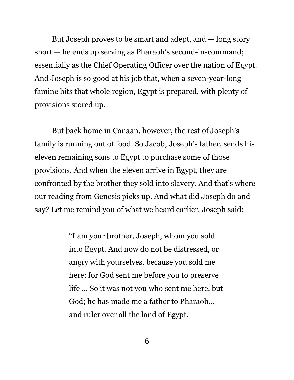But Joseph proves to be smart and adept, and — long story short — he ends up serving as Pharaoh's second-in-command; essentially as the Chief Operating Officer over the nation of Egypt. And Joseph is so good at his job that, when a seven-year-long famine hits that whole region, Egypt is prepared, with plenty of provisions stored up.

But back home in Canaan, however, the rest of Joseph's family is running out of food. So Jacob, Joseph's father, sends his eleven remaining sons to Egypt to purchase some of those provisions. And when the eleven arrive in Egypt, they are confronted by the brother they sold into slavery. And that's where our reading from Genesis picks up. And what did Joseph do and say? Let me remind you of what we heard earlier. Joseph said:

> "I am your brother, Joseph, whom you sold into Egypt. And now do not be distressed, or angry with yourselves, because you sold me here; for God sent me before you to preserve life ... So it was not you who sent me here, but God; he has made me a father to Pharaoh... and ruler over all the land of Egypt.

> > 6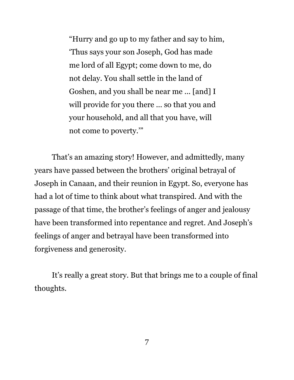"Hurry and go up to my father and say to him, 'Thus says your son Joseph, God has made me lord of all Egypt; come down to me, do not delay. You shall settle in the land of Goshen, and you shall be near me ... [and] I will provide for you there ... so that you and your household, and all that you have, will not come to poverty.'"

That's an amazing story! However, and admittedly, many years have passed between the brothers' original betrayal of Joseph in Canaan, and their reunion in Egypt. So, everyone has had a lot of time to think about what transpired. And with the passage of that time, the brother's feelings of anger and jealousy have been transformed into repentance and regret. And Joseph's feelings of anger and betrayal have been transformed into forgiveness and generosity.

It's really a great story. But that brings me to a couple of final thoughts.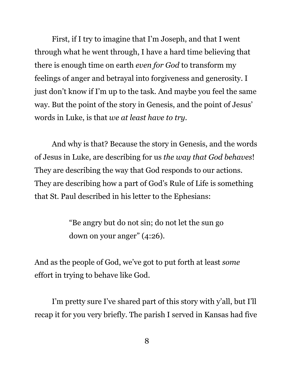First, if I try to imagine that I'm Joseph, and that I went through what he went through, I have a hard time believing that there is enough time on earth *even for God* to transform my feelings of anger and betrayal into forgiveness and generosity. I just don't know if I'm up to the task. And maybe you feel the same way. But the point of the story in Genesis, and the point of Jesus' words in Luke, is that *we at least have to try*.

And why is that? Because the story in Genesis, and the words of Jesus in Luke, are describing for us *the way that God behaves*! They are describing the way that God responds to our actions. They are describing how a part of God's Rule of Life is something that St. Paul described in his letter to the Ephesians:

> "Be angry but do not sin; do not let the sun go down on your anger" (4:26).

And as the people of God, we've got to put forth at least *some* effort in trying to behave like God.

I'm pretty sure I've shared part of this story with y'all, but I'll recap it for you very briefly. The parish I served in Kansas had five